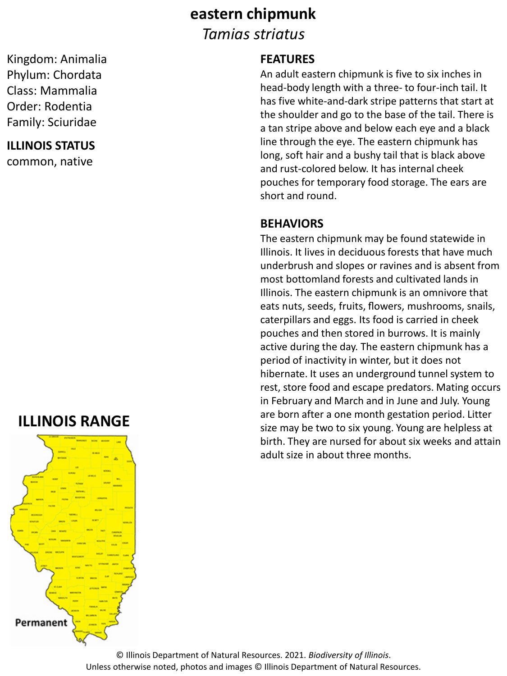### **eastern chipmunk**

*Tamias striatus*

### **FEATURES**

An adult eastern chipmunk is five to six inches in head-body length with a three- to four-inch tail. It has five white-and-dark stripe patterns that start at the shoulder and go to the base of the tail. There is a tan stripe above and below each eye and a black line through the eye. The eastern chipmunk has long, soft hair and a bushy tail that is black above and rust-colored below. It has internal cheek pouches for temporary food storage. The ears are short and round.

#### **BEHAVIORS**

The eastern chipmunk may be found statewide in Illinois. It lives in deciduous forests that have much underbrush and slopes or ravines and is absent from most bottomland forests and cultivated lands in Illinois. The eastern chipmunk is an omnivore that eats nuts, seeds, fruits, flowers, mushrooms, snails, caterpillars and eggs. Its food is carried in cheek pouches and then stored in burrows. It is mainly active during the day. The eastern chipmunk has a period of inactivity in winter, but it does not hibernate. It uses an underground tunnel system to rest, store food and escape predators. Mating occurs in February and March and in June and July. Young are born after a one month gestation period. Litter size may be two to six young. Young are helpless at birth. They are nursed for about six weeks and attain adult size in about three months.

Kingdom: Animalia Phylum: Chordata Class: Mammalia Order: Rodentia Family: Sciuridae

**ILLINOIS STATUS**

common, native

## **ILLINOIS RANGE**



© Illinois Department of Natural Resources. 2021. *Biodiversity of Illinois*. Unless otherwise noted, photos and images © Illinois Department of Natural Resources.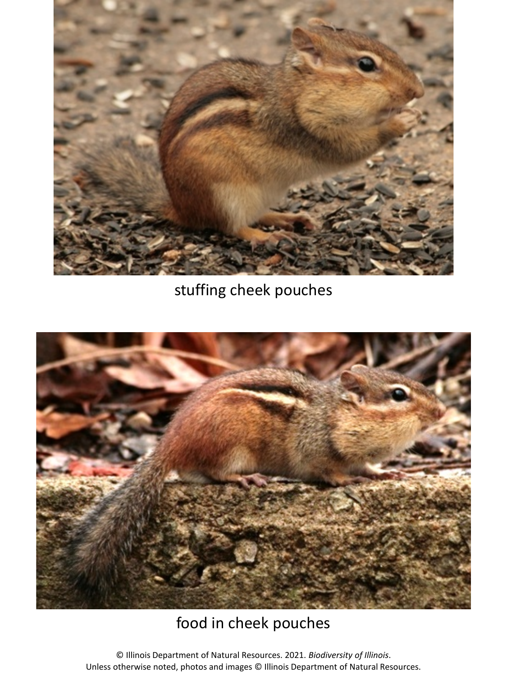

stuffing cheek pouches



# food in cheek pouches

© Illinois Department of Natural Resources. 2021. *Biodiversity of Illinois*. Unless otherwise noted, photos and images © Illinois Department of Natural Resources.